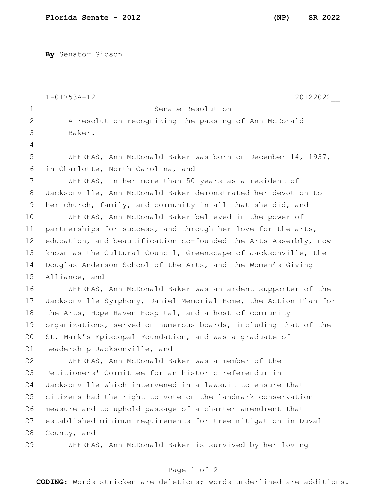**By** Senator Gibson

|              | $1 - 01753A - 12$<br>20122022                                    |
|--------------|------------------------------------------------------------------|
| $\mathbf 1$  | Senate Resolution                                                |
| $\mathbf{2}$ | A resolution recognizing the passing of Ann McDonald             |
| 3            | Baker.                                                           |
| 4            |                                                                  |
| 5            | WHEREAS, Ann McDonald Baker was born on December 14, 1937,       |
| 6            | in Charlotte, North Carolina, and                                |
| 7            | WHEREAS, in her more than 50 years as a resident of              |
| 8            | Jacksonville, Ann McDonald Baker demonstrated her devotion to    |
| $\mathsf 9$  | her church, family, and community in all that she did, and       |
| 10           | WHEREAS, Ann McDonald Baker believed in the power of             |
| 11           | partnerships for success, and through her love for the arts,     |
| 12           | education, and beautification co-founded the Arts Assembly, now  |
| 13           | known as the Cultural Council, Greenscape of Jacksonville, the   |
| 14           | Douglas Anderson School of the Arts, and the Women's Giving      |
| 15           | Alliance, and                                                    |
| 16           | WHEREAS, Ann McDonald Baker was an ardent supporter of the       |
| 17           | Jacksonville Symphony, Daniel Memorial Home, the Action Plan for |
| 18           | the Arts, Hope Haven Hospital, and a host of community           |
| 19           | organizations, served on numerous boards, including that of the  |
| 20           | St. Mark's Episcopal Foundation, and was a graduate of           |
| 21           | Leadership Jacksonville, and                                     |
| 22           | WHEREAS, Ann McDonald Baker was a member of the                  |
| 23           | Petitioners' Committee for an historic referendum in             |
| 24           | Jacksonville which intervened in a lawsuit to ensure that        |
| 25           | citizens had the right to vote on the landmark conservation      |
| 26           | measure and to uphold passage of a charter amendment that        |
| 27           | established minimum requirements for tree mitigation in Duval    |
| 28           | County, and                                                      |
| 29           | WHEREAS, Ann McDonald Baker is survived by her loving            |
|              |                                                                  |

## Page 1 of 2

**CODING**: Words stricken are deletions; words underlined are additions.